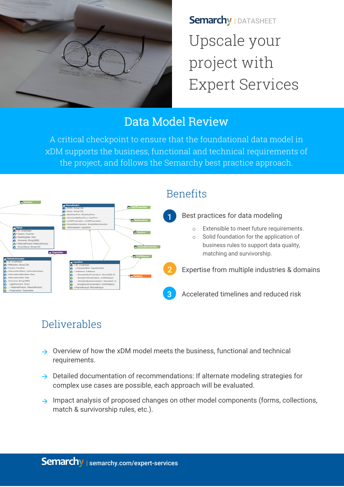

**Semarchy | DATASHEET** Upscale your project with Expert Services

# Data Model Review

A critical checkpoint to ensure that the foundational data model in xDM supports the business, functional and technical requirements of the project, and follows the Semarchy best practice approach.



# Benefits

# Deliverables

- $\rightarrow$  Overview of how the xDM model meets the business, functional and technical requirements.
- $\rightarrow$  Detailed documentation of recommendations: If alternate modeling strategies for complex use cases are possible, each approach will be evaluated.
- $\rightarrow$  Impact analysis of proposed changes on other model components (forms, collections, match & survivorship rules, etc.).